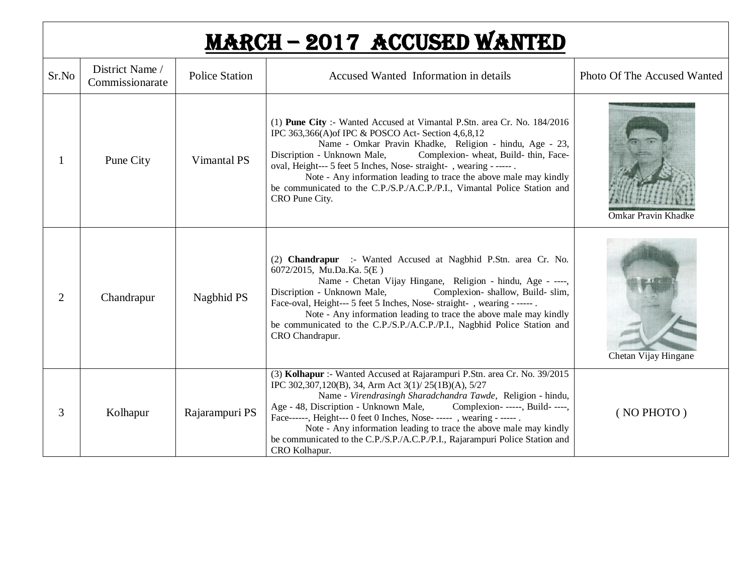## MARCH – 2017 Accused wanted

| Sr.No          | District Name /<br>Commissionarate | <b>Police Station</b> | Accused Wanted Information in details                                                                                                                                                                                                                                                                                                                                                                                                                                                                                        | Photo Of The Accused Wanted |
|----------------|------------------------------------|-----------------------|------------------------------------------------------------------------------------------------------------------------------------------------------------------------------------------------------------------------------------------------------------------------------------------------------------------------------------------------------------------------------------------------------------------------------------------------------------------------------------------------------------------------------|-----------------------------|
|                | Pune City                          | Vimantal PS           | (1) Pune City :- Wanted Accused at Vimantal P.Stn. area Cr. No. 184/2016<br>IPC 363,366(A) of IPC & POSCO Act- Section 4,6,8,12<br>Name - Omkar Pravin Khadke, Religion - hindu, Age - 23,<br>Complexion-wheat, Build-thin, Face-<br>Discription - Unknown Male,<br>oval, Height--- 5 feet 5 Inches, Nose-straight-, wearing - -----.<br>Note - Any information leading to trace the above male may kindly<br>be communicated to the C.P./S.P./A.C.P./P.I., Vimantal Police Station and<br>CRO Pune City.                    | <b>Omkar Pravin Khadke</b>  |
| $\overline{2}$ | Chandrapur                         | Nagbhid PS            | (2) Chandrapur :- Wanted Accused at Nagbhid P.Stn. area Cr. No.<br>6072/2015, Mu.Da.Ka. 5(E)<br>Name - Chetan Vijay Hingane, Religion - hindu, Age - ----,<br>Complexion-shallow, Build-slim,<br>Discription - Unknown Male,<br>Face-oval, Height--- 5 feet 5 Inches, Nose-straight-, wearing - ----- .<br>Note - Any information leading to trace the above male may kindly<br>be communicated to the C.P./S.P./A.C.P./P.I., Nagbhid Police Station and<br>CRO Chandrapur.                                                  | Chetan Vijay Hingane        |
| 3              | Kolhapur                           | Rajarampuri PS        | (3) Kolhapur :- Wanted Accused at Rajarampuri P.Stn. area Cr. No. 39/2015<br>IPC 302,307,120(B), 34, Arm Act 3(1)/25(1B)(A), 5/27<br>Name - Virendrasingh Sharadchandra Tawde, Religion - hindu,<br>Age - 48, Discription - Unknown Male,<br>Complexion- -----, Build- ----,<br>Face------, Height--- 0 feet 0 Inches, Nose- ----- , wearing - ----- .<br>Note - Any information leading to trace the above male may kindly<br>be communicated to the C.P./S.P./A.C.P./P.I., Rajarampuri Police Station and<br>CRO Kolhapur. | (NO PHOTO)                  |